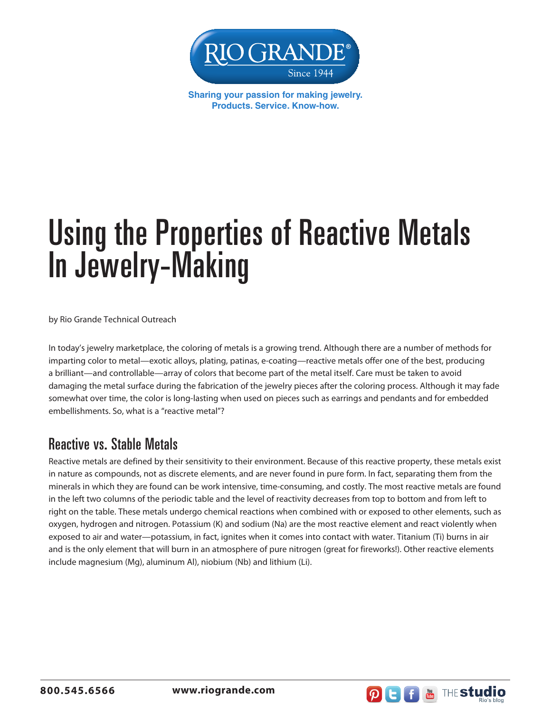

**Sharing your passion for making jewelry. Products. Service. Know-how.**

# Using the Properties of Reactive Metals In Jewelry-Making

by Rio Grande Technical Outreach

In today's jewelry marketplace, the coloring of metals is a growing trend. Although there are a number of methods for imparting color to metal—exotic alloys, plating, patinas, e-coating—reactive metals offer one of the best, producing a brilliant—and controllable—array of colors that become part of the metal itself. Care must be taken to avoid damaging the metal surface during the fabrication of the jewelry pieces after the coloring process. Although it may fade somewhat over time, the color is long-lasting when used on pieces such as earrings and pendants and for embedded embellishments. So, what is a "reactive metal"?

#### Reactive vs. Stable Metals

Reactive metals are defined by their sensitivity to their environment. Because of this reactive property, these metals exist in nature as compounds, not as discrete elements, and are never found in pure form. In fact, separating them from the minerals in which they are found can be work intensive, time-consuming, and costly. The most reactive metals are found in the left two columns of the periodic table and the level of reactivity decreases from top to bottom and from left to right on the table. These metals undergo chemical reactions when combined with or exposed to other elements, such as oxygen, hydrogen and nitrogen. Potassium (K) and sodium (Na) are the most reactive element and react violently when exposed to air and water—potassium, in fact, ignites when it comes into contact with water. Titanium (Ti) burns in air and is the only element that will burn in an atmosphere of pure nitrogen (great for fireworks!). Other reactive elements include magnesium (Mg), aluminum Al), niobium (Nb) and lithium (Li).



**800.545.6566 www.riogrande.com**

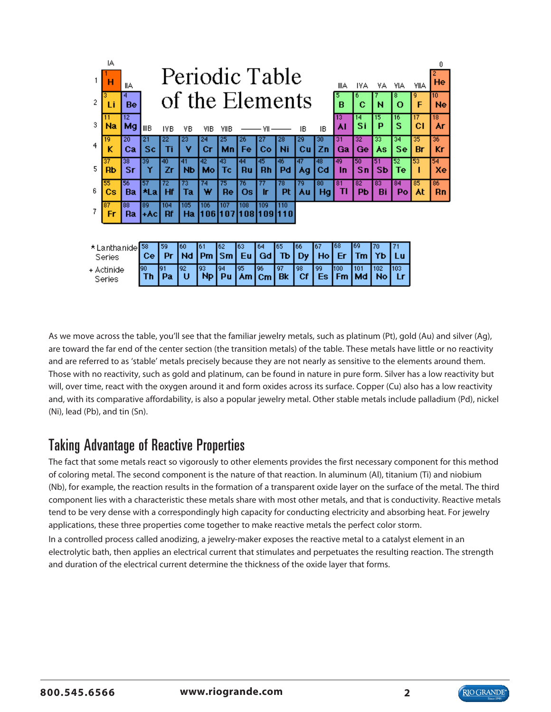|                         | IA<br>н  | llА      |                  | Periodic Table<br>He<br><b>YIIA</b><br>IIIA<br>IYA<br>٧IA<br>٧A |           |                 |            |                 |                    |                 |          |                 |                       |           |           |           |                       |          |
|-------------------------|----------|----------|------------------|-----------------------------------------------------------------|-----------|-----------------|------------|-----------------|--------------------|-----------------|----------|-----------------|-----------------------|-----------|-----------|-----------|-----------------------|----------|
| 2                       | Li       | 4<br>Be  | of the Elements  |                                                                 |           |                 |            |                 |                    |                 |          |                 |                       | 6<br>¢    | N         | 8<br>o    | 9<br>F                | 10<br>Ne |
| 3                       | Na       | 12<br>Mg | ШB               | IVB                                                             | ٧B        | MВ              | VIIB       |                 | ۷I                 |                 | IΒ       | IΒ              | 13<br>٨I              | 14<br>Si  | 15<br>Р   | 16<br>s   | 17<br>сı              | 18<br>٨r |
| 4                       | 19<br>ĸ  | 20<br>Ca | 21<br>Sc         | 22<br>Τi                                                        | 23<br>٧   | 24<br>Сr        | 25<br>Mn   | 26<br>Fe        | Co                 | 28<br>Ni        | 29<br>Cu | 30<br>Ζn        | 31<br>Ga              | 32<br>Ge  | 33<br>ÅS  | 34<br>Se  | $\overline{35}$<br>Br | 36<br>Кr |
| 5                       | 37<br>Rb | 38<br>Sr | 39<br>Υ          | 40<br>Zr                                                        | 41<br>Nb  | 42<br>Мо        | 43<br>Тc   | 44<br>Ru        | 45<br>Rh           | 46<br>Pd        | 47<br>Ag | 48<br>Cd        | 49<br>In.             | 50<br>Sn  | 51<br>Sb  | 52<br>Тe  | 53                    | 54<br>Xe |
| 6                       | 55<br>Сs | 56<br>Ba | 57<br><b>*La</b> | 72<br>Hf                                                        | 73<br>Ta  | 74<br>w         | 75<br>Re   | 76<br><b>Os</b> | Ir                 | 78<br>Pt        | 79<br>٨u | 80<br><b>Hg</b> | $\overline{81}$<br>TI | 82<br>Pb  | 83<br>Bi  | 84<br>Po  | 85<br>At              | 86<br>Rn |
| 7                       | 87<br>Fr | 88<br>Ra | 89<br>+AC        | 104<br>Rf                                                       | 105<br>Ha | 106<br>1061     | 107<br>107 | 108             | 109<br>10811091110 | 110             |          |                 |                       |           |           |           |                       |          |
|                         |          |          |                  |                                                                 |           |                 |            |                 |                    |                 |          |                 |                       |           |           |           |                       |          |
| * Lanthanidel<br>Series |          |          | 58<br>Сe         | 59<br>Pr                                                        | 60<br>Nd  | 61<br><b>Pm</b> | 62<br>Sm   | 63<br>Eu        | 64<br>Gd           | 65<br>ТЪ        | 66<br>Dy | 67<br>Ho        | 68<br>Er              | 69<br>Тm  | 70<br>Υb  | 71<br>Lu  |                       |          |
| + Actinide<br>Series    |          |          | 90<br>Τh         | 91<br>Pa                                                        | 92<br>U   | 93<br><b>Np</b> | 94<br>Pu   | 95<br>Am        | 96<br>$cm$         | 97<br><b>Bk</b> | 98<br>Cf | 99<br>Es        | 100<br><b>Fm</b>      | 101<br>Md | 102<br>No | 103<br>Lr |                       |          |

As we move across the table, you'll see that the familiar jewelry metals, such as platinum (Pt), gold (Au) and silver (Ag), are toward the far end of the center section (the transition metals) of the table. These metals have little or no reactivity and are referred to as 'stable' metals precisely because they are not nearly as sensitive to the elements around them. Those with no reactivity, such as gold and platinum, can be found in nature in pure form. Silver has a low reactivity but will, over time, react with the oxygen around it and form oxides across its surface. Copper (Cu) also has a low reactivity and, with its comparative affordability, is also a popular jewelry metal. Other stable metals include palladium (Pd), nickel (Ni), lead (Pb), and tin (Sn).

#### Taking Advantage of Reactive Properties

The fact that some metals react so vigorously to other elements provides the first necessary component for this method of coloring metal. The second component is the nature of that reaction. In aluminum (Al), titanium (Ti) and niobium (Nb), for example, the reaction results in the formation of a transparent oxide layer on the surface of the metal. The third component lies with a characteristic these metals share with most other metals, and that is conductivity. Reactive metals tend to be very dense with a correspondingly high capacity for conducting electricity and absorbing heat. For jewelry applications, these three properties come together to make reactive metals the perfect color storm.

In a controlled process called anodizing, a jewelry-maker exposes the reactive metal to a catalyst element in an electrolytic bath, then applies an electrical current that stimulates and perpetuates the resulting reaction. The strength and duration of the electrical current determine the thickness of the oxide layer that forms.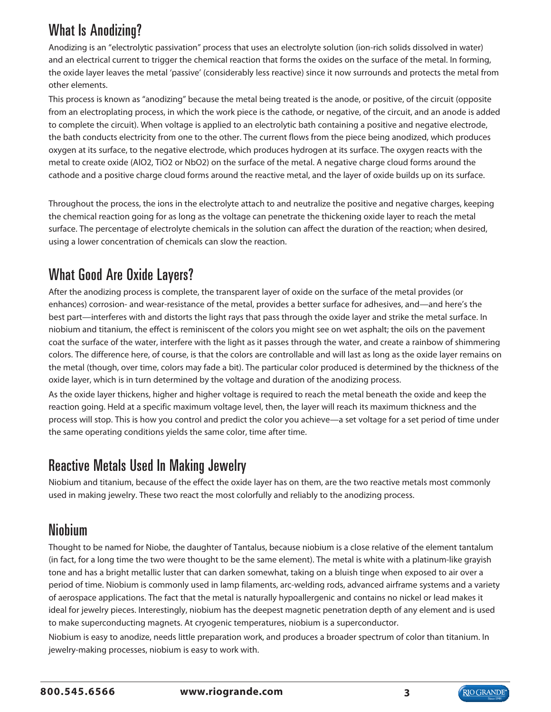## What Is Anodizing?

Anodizing is an "electrolytic passivation" process that uses an electrolyte solution (ion-rich solids dissolved in water) and an electrical current to trigger the chemical reaction that forms the oxides on the surface of the metal. In forming, the oxide layer leaves the metal 'passive' (considerably less reactive) since it now surrounds and protects the metal from other elements.

This process is known as "anodizing" because the metal being treated is the anode, or positive, of the circuit (opposite from an electroplating process, in which the work piece is the cathode, or negative, of the circuit, and an anode is added to complete the circuit). When voltage is applied to an electrolytic bath containing a positive and negative electrode, the bath conducts electricity from one to the other. The current flows from the piece being anodized, which produces oxygen at its surface, to the negative electrode, which produces hydrogen at its surface. The oxygen reacts with the metal to create oxide (AlO2, TiO2 or NbO2) on the surface of the metal. A negative charge cloud forms around the cathode and a positive charge cloud forms around the reactive metal, and the layer of oxide builds up on its surface.

Throughout the process, the ions in the electrolyte attach to and neutralize the positive and negative charges, keeping the chemical reaction going for as long as the voltage can penetrate the thickening oxide layer to reach the metal surface. The percentage of electrolyte chemicals in the solution can affect the duration of the reaction; when desired, using a lower concentration of chemicals can slow the reaction.

## What Good Are Oxide Layers?

After the anodizing process is complete, the transparent layer of oxide on the surface of the metal provides (or enhances) corrosion- and wear-resistance of the metal, provides a better surface for adhesives, and—and here's the best part—interferes with and distorts the light rays that pass through the oxide layer and strike the metal surface. In niobium and titanium, the effect is reminiscent of the colors you might see on wet asphalt; the oils on the pavement coat the surface of the water, interfere with the light as it passes through the water, and create a rainbow of shimmering colors. The difference here, of course, is that the colors are controllable and will last as long as the oxide layer remains on the metal (though, over time, colors may fade a bit). The particular color produced is determined by the thickness of the oxide layer, which is in turn determined by the voltage and duration of the anodizing process.

As the oxide layer thickens, higher and higher voltage is required to reach the metal beneath the oxide and keep the reaction going. Held at a specific maximum voltage level, then, the layer will reach its maximum thickness and the process will stop. This is how you control and predict the color you achieve—a set voltage for a set period of time under the same operating conditions yields the same color, time after time.

#### Reactive Metals Used In Making Jewelry

Niobium and titanium, because of the effect the oxide layer has on them, are the two reactive metals most commonly used in making jewelry. These two react the most colorfully and reliably to the anodizing process.

#### Niobium

Thought to be named for Niobe, the daughter of Tantalus, because niobium is a close relative of the element tantalum (in fact, for a long time the two were thought to be the same element). The metal is white with a platinum-like grayish tone and has a bright metallic luster that can darken somewhat, taking on a bluish tinge when exposed to air over a period of time. Niobium is commonly used in lamp filaments, arc-welding rods, advanced airframe systems and a variety of aerospace applications. The fact that the metal is naturally hypoallergenic and contains no nickel or lead makes it ideal for jewelry pieces. Interestingly, niobium has the deepest magnetic penetration depth of any element and is used to make superconducting magnets. At cryogenic temperatures, niobium is a superconductor.

Niobium is easy to anodize, needs little preparation work, and produces a broader spectrum of color than titanium. In jewelry-making processes, niobium is easy to work with.

**800.545.6566 www.riogrande.com**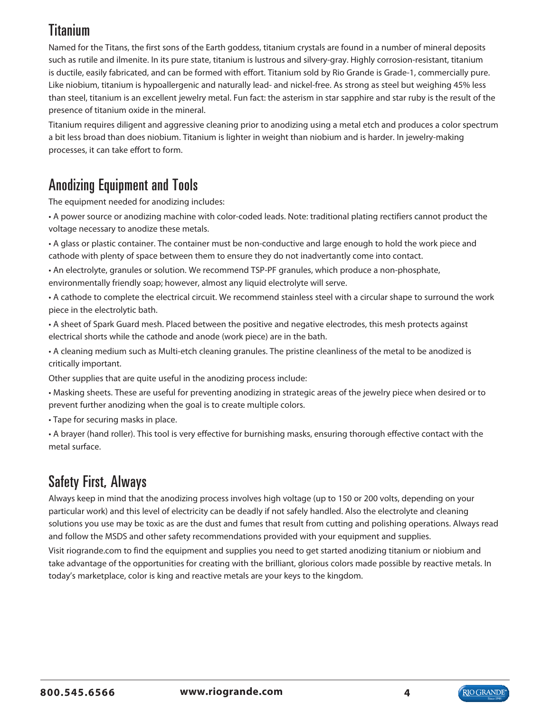## Titanium

Named for the Titans, the first sons of the Earth goddess, titanium crystals are found in a number of mineral deposits such as rutile and ilmenite. In its pure state, titanium is lustrous and silvery-gray. Highly corrosion-resistant, titanium is ductile, easily fabricated, and can be formed with effort. Titanium sold by Rio Grande is Grade-1, commercially pure. Like niobium, titanium is hypoallergenic and naturally lead- and nickel-free. As strong as steel but weighing 45% less than steel, titanium is an excellent jewelry metal. Fun fact: the asterism in star sapphire and star ruby is the result of the presence of titanium oxide in the mineral.

Titanium requires diligent and aggressive cleaning prior to anodizing using a metal etch and produces a color spectrum a bit less broad than does niobium. Titanium is lighter in weight than niobium and is harder. In jewelry-making processes, it can take effort to form.

# Anodizing Equipment and Tools

The equipment needed for anodizing includes:

• A power source or anodizing machine with color-coded leads. Note: traditional plating rectifiers cannot product the voltage necessary to anodize these metals.

• A glass or plastic container. The container must be non-conductive and large enough to hold the work piece and cathode with plenty of space between them to ensure they do not inadvertantly come into contact.

• An electrolyte, granules or solution. We recommend TSP-PF granules, which produce a non-phosphate, environmentally friendly soap; however, almost any liquid electrolyte will serve.

• A cathode to complete the electrical circuit. We recommend stainless steel with a circular shape to surround the work piece in the electrolytic bath.

• A sheet of Spark Guard mesh. Placed between the positive and negative electrodes, this mesh protects against electrical shorts while the cathode and anode (work piece) are in the bath.

• A cleaning medium such as Multi-etch cleaning granules. The pristine cleanliness of the metal to be anodized is critically important.

Other supplies that are quite useful in the anodizing process include:

• Masking sheets. These are useful for preventing anodizing in strategic areas of the jewelry piece when desired or to prevent further anodizing when the goal is to create multiple colors.

• Tape for securing masks in place.

• A brayer (hand roller). This tool is very effective for burnishing masks, ensuring thorough effective contact with the metal surface.

# Safety First, Always

Always keep in mind that the anodizing process involves high voltage (up to 150 or 200 volts, depending on your particular work) and this level of electricity can be deadly if not safely handled. Also the electrolyte and cleaning solutions you use may be toxic as are the dust and fumes that result from cutting and polishing operations. Always read and follow the MSDS and other safety recommendations provided with your equipment and supplies.

Visit riogrande.com to find the equipment and supplies you need to get started anodizing titanium or niobium and take advantage of the opportunities for creating with the brilliant, glorious colors made possible by reactive metals. In today's marketplace, color is king and reactive metals are your keys to the kingdom.